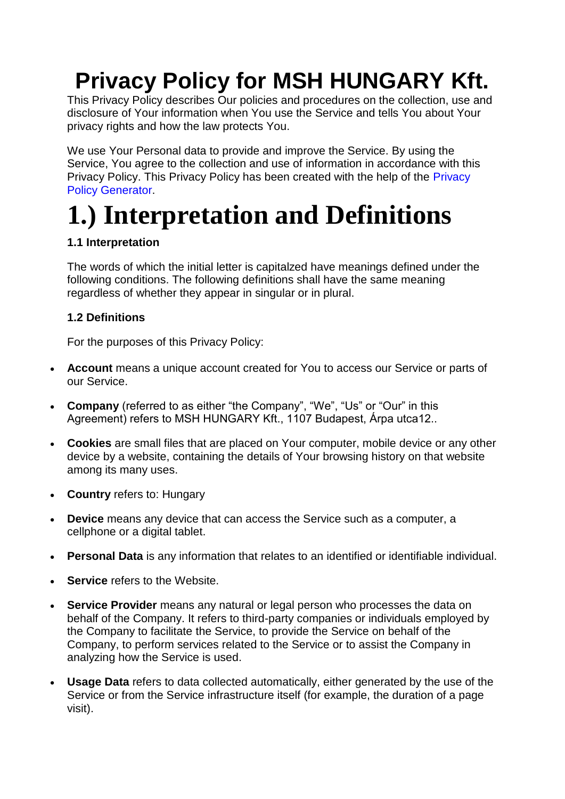### **Privacy Policy for MSH HUNGARY Kft.**

This Privacy Policy describes Our policies and procedures on the collection, use and disclosure of Your information when You use the Service and tells You about Your privacy rights and how the law protects You.

We use Your Personal data to provide and improve the Service. By using the Service, You agree to the collection and use of information in accordance with this [Privacy](https://www.privacypolicies.com/privacy-policy-generator/) Policy. This Privacy Policy has been created with the help of the Privacy Policy [Generator.](https://www.privacypolicies.com/privacy-policy-generator/)

# **1.) Interpretation and Definitions**

### **1.1 Interpretation**

The words of which the initial letter is capitalzed have meanings defined under the following conditions. The following definitions shall have the same meaning regardless of whether they appear in singular or in plural.

### **1.2 Definitions**

For the purposes of this Privacy Policy:

- **Account** means a unique account created for You to access our Service or parts of our Service.
- **Company** (referred to as either "the Company", "We", "Us" or "Our" in this Agreement) refers to MSH HUNGARY Kft., 1107 Budapest, Árpa utca12..
- **Cookies** are small files that are placed on Your computer, mobile device or any other device by a website, containing the details of Your browsing history on that website among its many uses.
- **Country** refers to: Hungary
- **Device** means any device that can access the Service such as a computer, a cellphone or a digital tablet.
- **Personal Data** is any information that relates to an identified or identifiable individual.
- **Service** refers to the Website.
- **Service Provider** means any natural or legal person who processes the data on behalf of the Company. It refers to third-party companies or individuals employed by the Company to facilitate the Service, to provide the Service on behalf of the Company, to perform services related to the Service or to assist the Company in analyzing how the Service is used.
- **Usage Data** refers to data collected automatically, either generated by the use of the Service or from the Service infrastructure itself (for example, the duration of a page visit).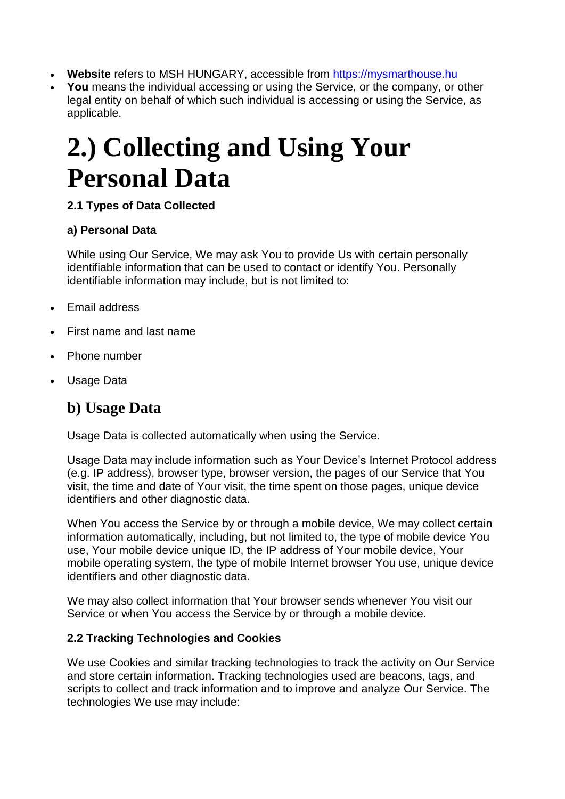- **Website** refers to MSH HUNGARY, accessible from [https://mysmarthouse.hu](https://mysmarthouse.hu/)
- **You** means the individual accessing or using the Service, or the company, or other legal entity on behalf of which such individual is accessing or using the Service, as applicable.

### **2.) Collecting and Using Your Personal Data**

#### **2.1 Types of Data Collected**

#### **a) Personal Data**

While using Our Service, We may ask You to provide Us with certain personally identifiable information that can be used to contact or identify You. Personally identifiable information may include, but is not limited to:

- Email address
- First name and last name
- Phone number
- Usage Data

### **b) Usage Data**

Usage Data is collected automatically when using the Service.

Usage Data may include information such as Your Device's Internet Protocol address (e.g. IP address), browser type, browser version, the pages of our Service that You visit, the time and date of Your visit, the time spent on those pages, unique device identifiers and other diagnostic data.

When You access the Service by or through a mobile device, We may collect certain information automatically, including, but not limited to, the type of mobile device You use, Your mobile device unique ID, the IP address of Your mobile device, Your mobile operating system, the type of mobile Internet browser You use, unique device identifiers and other diagnostic data.

We may also collect information that Your browser sends whenever You visit our Service or when You access the Service by or through a mobile device.

#### **2.2 Tracking Technologies and Cookies**

We use Cookies and similar tracking technologies to track the activity on Our Service and store certain information. Tracking technologies used are beacons, tags, and scripts to collect and track information and to improve and analyze Our Service. The technologies We use may include: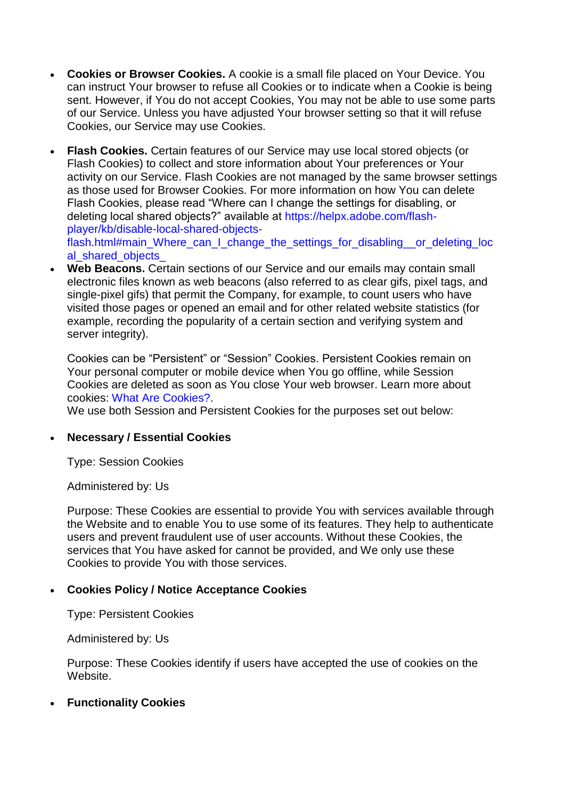- **Cookies or Browser Cookies.** A cookie is a small file placed on Your Device. You can instruct Your browser to refuse all Cookies or to indicate when a Cookie is being sent. However, if You do not accept Cookies, You may not be able to use some parts of our Service. Unless you have adjusted Your browser setting so that it will refuse Cookies, our Service may use Cookies.
- **Flash Cookies.** Certain features of our Service may use local stored objects (or Flash Cookies) to collect and store information about Your preferences or Your activity on our Service. Flash Cookies are not managed by the same browser settings as those used for Browser Cookies. For more information on how You can delete Flash Cookies, please read "Where can I change the settings for disabling, or deleting local shared objects?" available at [https://helpx.adobe.com/flash](https://helpx.adobe.com/flash-player/kb/disable-local-shared-objects-flash.html#main_Where_can_I_change_the_settings_for_disabling__or_deleting_local_shared_objects_)[player/kb/disable-local-shared-objects](https://helpx.adobe.com/flash-player/kb/disable-local-shared-objects-flash.html#main_Where_can_I_change_the_settings_for_disabling__or_deleting_local_shared_objects_)[flash.html#main\\_Where\\_can\\_I\\_change\\_the\\_settings\\_for\\_disabling\\_\\_or\\_deleting\\_loc](https://helpx.adobe.com/flash-player/kb/disable-local-shared-objects-flash.html#main_Where_can_I_change_the_settings_for_disabling__or_deleting_local_shared_objects_) al shared objects
- **Web Beacons.** Certain sections of our Service and our emails may contain small electronic files known as web beacons (also referred to as clear gifs, pixel tags, and single-pixel gifs) that permit the Company, for example, to count users who have visited those pages or opened an email and for other related website statistics (for example, recording the popularity of a certain section and verifying system and server integrity).

Cookies can be "Persistent" or "Session" Cookies. Persistent Cookies remain on Your personal computer or mobile device when You go offline, while Session Cookies are deleted as soon as You close Your web browser. Learn more about cookies: What Are [Cookies?.](https://www.privacypolicies.com/blog/cookies/)

We use both Session and Persistent Cookies for the purposes set out below:

#### **Necessary / Essential Cookies**

Type: Session Cookies

Administered by: Us

Purpose: These Cookies are essential to provide You with services available through the Website and to enable You to use some of its features. They help to authenticate users and prevent fraudulent use of user accounts. Without these Cookies, the services that You have asked for cannot be provided, and We only use these Cookies to provide You with those services.

#### **Cookies Policy / Notice Acceptance Cookies**

Type: Persistent Cookies

Administered by: Us

Purpose: These Cookies identify if users have accepted the use of cookies on the Website.

#### **Functionality Cookies**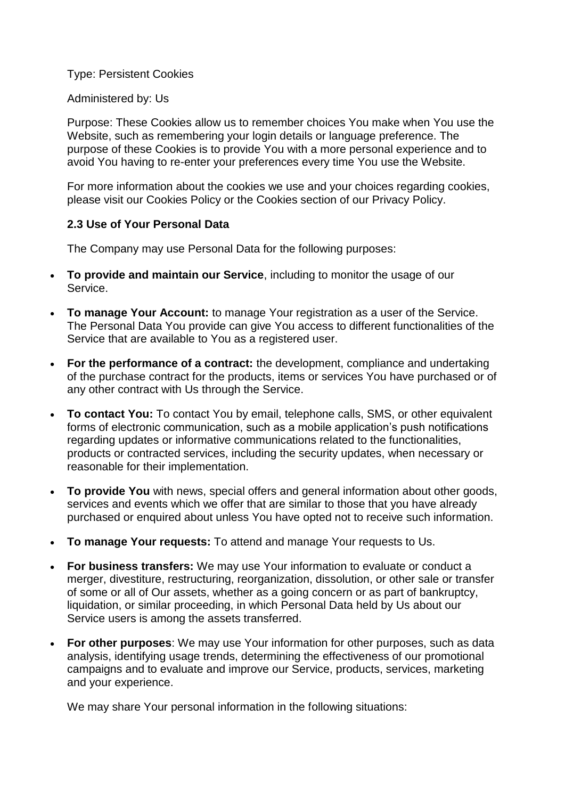#### Type: Persistent Cookies

Administered by: Us

Purpose: These Cookies allow us to remember choices You make when You use the Website, such as remembering your login details or language preference. The purpose of these Cookies is to provide You with a more personal experience and to avoid You having to re-enter your preferences every time You use the Website.

For more information about the cookies we use and your choices regarding cookies, please visit our Cookies Policy or the Cookies section of our Privacy Policy.

#### **2.3 Use of Your Personal Data**

The Company may use Personal Data for the following purposes:

- **To provide and maintain our Service**, including to monitor the usage of our Service.
- **To manage Your Account:** to manage Your registration as a user of the Service. The Personal Data You provide can give You access to different functionalities of the Service that are available to You as a registered user.
- **For the performance of a contract:** the development, compliance and undertaking of the purchase contract for the products, items or services You have purchased or of any other contract with Us through the Service.
- **To contact You:** To contact You by email, telephone calls, SMS, or other equivalent forms of electronic communication, such as a mobile application's push notifications regarding updates or informative communications related to the functionalities, products or contracted services, including the security updates, when necessary or reasonable for their implementation.
- **To provide You** with news, special offers and general information about other goods, services and events which we offer that are similar to those that you have already purchased or enquired about unless You have opted not to receive such information.
- **To manage Your requests:** To attend and manage Your requests to Us.
- **For business transfers:** We may use Your information to evaluate or conduct a merger, divestiture, restructuring, reorganization, dissolution, or other sale or transfer of some or all of Our assets, whether as a going concern or as part of bankruptcy, liquidation, or similar proceeding, in which Personal Data held by Us about our Service users is among the assets transferred.
- **For other purposes**: We may use Your information for other purposes, such as data analysis, identifying usage trends, determining the effectiveness of our promotional campaigns and to evaluate and improve our Service, products, services, marketing and your experience.

We may share Your personal information in the following situations: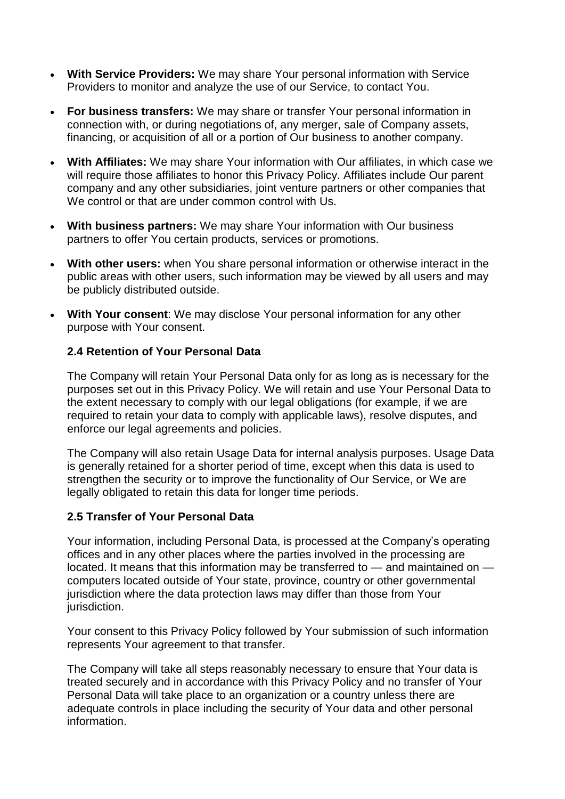- **With Service Providers:** We may share Your personal information with Service Providers to monitor and analyze the use of our Service, to contact You.
- **For business transfers:** We may share or transfer Your personal information in connection with, or during negotiations of, any merger, sale of Company assets, financing, or acquisition of all or a portion of Our business to another company.
- **With Affiliates:** We may share Your information with Our affiliates, in which case we will require those affiliates to honor this Privacy Policy. Affiliates include Our parent company and any other subsidiaries, joint venture partners or other companies that We control or that are under common control with Us.
- **With business partners:** We may share Your information with Our business partners to offer You certain products, services or promotions.
- **With other users:** when You share personal information or otherwise interact in the public areas with other users, such information may be viewed by all users and may be publicly distributed outside.
- **With Your consent**: We may disclose Your personal information for any other purpose with Your consent.

#### **2.4 Retention of Your Personal Data**

The Company will retain Your Personal Data only for as long as is necessary for the purposes set out in this Privacy Policy. We will retain and use Your Personal Data to the extent necessary to comply with our legal obligations (for example, if we are required to retain your data to comply with applicable laws), resolve disputes, and enforce our legal agreements and policies.

The Company will also retain Usage Data for internal analysis purposes. Usage Data is generally retained for a shorter period of time, except when this data is used to strengthen the security or to improve the functionality of Our Service, or We are legally obligated to retain this data for longer time periods.

#### **2.5 Transfer of Your Personal Data**

Your information, including Personal Data, is processed at the Company's operating offices and in any other places where the parties involved in the processing are located. It means that this information may be transferred to — and maintained on computers located outside of Your state, province, country or other governmental jurisdiction where the data protection laws may differ than those from Your jurisdiction.

Your consent to this Privacy Policy followed by Your submission of such information represents Your agreement to that transfer.

The Company will take all steps reasonably necessary to ensure that Your data is treated securely and in accordance with this Privacy Policy and no transfer of Your Personal Data will take place to an organization or a country unless there are adequate controls in place including the security of Your data and other personal information.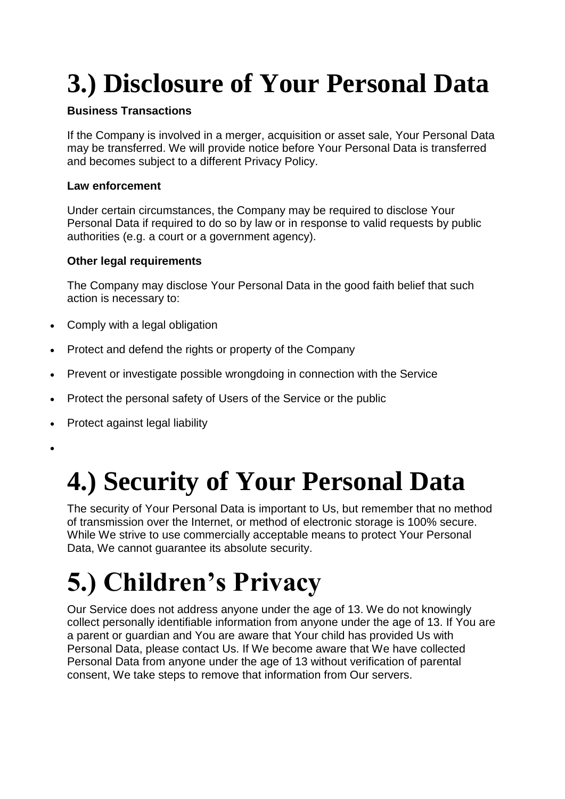# **3.) Disclosure of Your Personal Data**

### **Business Transactions**

If the Company is involved in a merger, acquisition or asset sale, Your Personal Data may be transferred. We will provide notice before Your Personal Data is transferred and becomes subject to a different Privacy Policy.

#### **Law enforcement**

Under certain circumstances, the Company may be required to disclose Your Personal Data if required to do so by law or in response to valid requests by public authorities (e.g. a court or a government agency).

#### **Other legal requirements**

The Company may disclose Your Personal Data in the good faith belief that such action is necessary to:

- Comply with a legal obligation
- Protect and defend the rights or property of the Company
- Prevent or investigate possible wrongdoing in connection with the Service
- Protect the personal safety of Users of the Service or the public
- Protect against legal liability
- $\bullet$

# **4.) Security of Your Personal Data**

The security of Your Personal Data is important to Us, but remember that no method of transmission over the Internet, or method of electronic storage is 100% secure. While We strive to use commercially acceptable means to protect Your Personal Data, We cannot guarantee its absolute security.

# **5.) Children's Privacy**

Our Service does not address anyone under the age of 13. We do not knowingly collect personally identifiable information from anyone under the age of 13. If You are a parent or guardian and You are aware that Your child has provided Us with Personal Data, please contact Us. If We become aware that We have collected Personal Data from anyone under the age of 13 without verification of parental consent, We take steps to remove that information from Our servers.